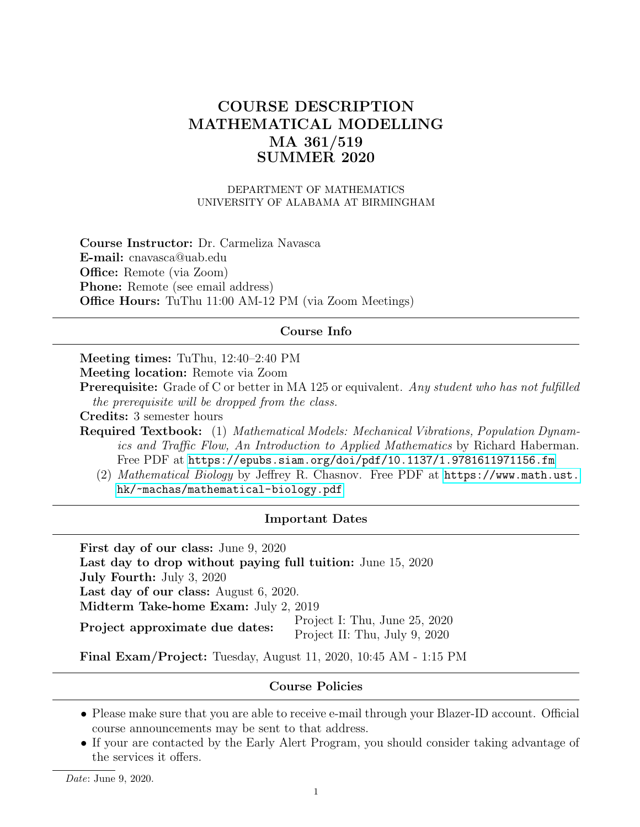# COURSE DESCRIPTION MATHEMATICAL MODELLING MA 361/519 SUMMER 2020

#### DEPARTMENT OF MATHEMATICS UNIVERSITY OF ALABAMA AT BIRMINGHAM

Course Instructor: Dr. Carmeliza Navasca E-mail: cnavasca@uab.edu Office: Remote (via Zoom) Phone: Remote (see email address) Office Hours: TuThu 11:00 AM-12 PM (via Zoom Meetings)

### Course Info

Meeting times: TuThu, 12:40–2:40 PM

Meeting location: Remote via Zoom

Prerequisite: Grade of C or better in MA 125 or equivalent. Any student who has not fulfilled the prerequisite will be dropped from the class.

Credits: 3 semester hours

Required Textbook: (1) Mathematical Models: Mechanical Vibrations, Population Dynamics and Traffic Flow, An Introduction to Applied Mathematics by Richard Haberman. Free PDF at <https://epubs.siam.org/doi/pdf/10.1137/1.9781611971156.fm>

(2) Mathematical Biology by Jeffrey R. Chasnov. Free PDF at [https://www.math.ust.](https://www.math.ust.hk/~machas/mathematical-biology.pdf) [hk/~machas/mathematical-biology.pdf](https://www.math.ust.hk/~machas/mathematical-biology.pdf)

### Important Dates

First day of our class: June 9, 2020 Last day to drop without paying full tuition: June 15, 2020 July Fourth: July 3, 2020 Last day of our class: August 6, 2020. Midterm Take-home Exam: July 2, 2019 Project approximate due dates: Project I: Thu, June 25, 2020

Project II: Thu, July 9, 2020

Final Exam/Project: Tuesday, August 11, 2020, 10:45 AM - 1:15 PM

### Course Policies

- Please make sure that you are able to receive e-mail through your Blazer-ID account. Official course announcements may be sent to that address.
- If your are contacted by the Early Alert Program, you should consider taking advantage of the services it offers.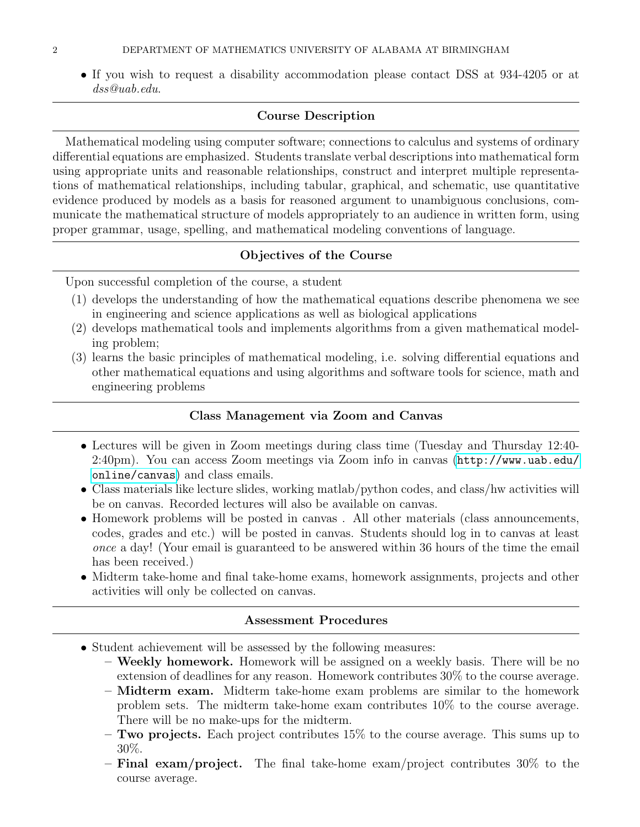• If you wish to request a disability accommodation please contact DSS at 934-4205 or at dss@uab.edu.

### Course Description

Mathematical modeling using computer software; connections to calculus and systems of ordinary differential equations are emphasized. Students translate verbal descriptions into mathematical form using appropriate units and reasonable relationships, construct and interpret multiple representations of mathematical relationships, including tabular, graphical, and schematic, use quantitative evidence produced by models as a basis for reasoned argument to unambiguous conclusions, communicate the mathematical structure of models appropriately to an audience in written form, using proper grammar, usage, spelling, and mathematical modeling conventions of language.

## Objectives of the Course

Upon successful completion of the course, a student

- (1) develops the understanding of how the mathematical equations describe phenomena we see in engineering and science applications as well as biological applications
- (2) develops mathematical tools and implements algorithms from a given mathematical modeling problem;
- (3) learns the basic principles of mathematical modeling, i.e. solving differential equations and other mathematical equations and using algorithms and software tools for science, math and engineering problems

## Class Management via Zoom and Canvas

- Lectures will be given in Zoom meetings during class time (Tuesday and Thursday 12:40- 2:40pm). You can access Zoom meetings via Zoom info in canvas ([http://www.uab.edu/](http://www.uab.edu/online/canvas) [online/canvas](http://www.uab.edu/online/canvas)) and class emails.
- Class materials like lecture slides, working matlab/python codes, and class/hw activities will be on canvas. Recorded lectures will also be available on canvas.
- Homework problems will be posted in canvas . All other materials (class announcements, codes, grades and etc.) will be posted in canvas. Students should log in to canvas at least once a day! (Your email is guaranteed to be answered within 36 hours of the time the email has been received.)
- Midterm take-home and final take-home exams, homework assignments, projects and other activities will only be collected on canvas.

### Assessment Procedures

- Student achievement will be assessed by the following measures:
	- Weekly homework. Homework will be assigned on a weekly basis. There will be no extension of deadlines for any reason. Homework contributes 30% to the course average.
	- Midterm exam. Midterm take-home exam problems are similar to the homework problem sets. The midterm take-home exam contributes 10% to the course average. There will be no make-ups for the midterm.
	- $-$  Two projects. Each project contributes 15% to the course average. This sums up to 30%.
	- $-$  Final exam/project. The final take-home exam/project contributes 30% to the course average.